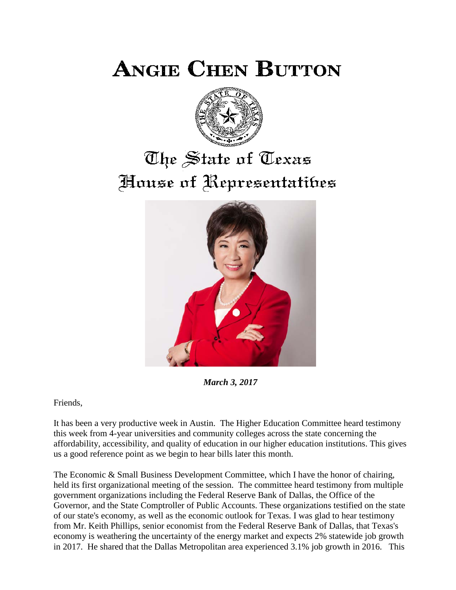**ANGIE CHEN BUTTON** 



## The State of Texas House of Representatibes



*March 3, 2017*

Friends,

It has been a very productive week in Austin. The Higher Education Committee heard testimony this week from 4-year universities and community colleges across the state concerning the affordability, accessibility, and quality of education in our higher education institutions. This gives us a good reference point as we begin to hear bills later this month.

The Economic & Small Business Development Committee, which I have the honor of chairing, held its first organizational meeting of the session. The committee heard testimony from multiple government organizations including the Federal Reserve Bank of Dallas, the Office of the Governor, and the State Comptroller of Public Accounts. These organizations testified on the state of our state's economy, as well as the economic outlook for Texas. I was glad to hear testimony from Mr. Keith Phillips, senior economist from the Federal Reserve Bank of Dallas, that Texas's economy is weathering the uncertainty of the energy market and expects 2% statewide job growth in 2017. He shared that the Dallas Metropolitan area experienced 3.1% job growth in 2016. This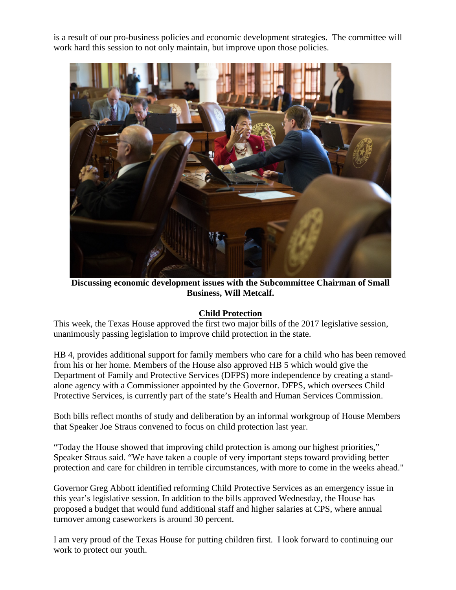is a result of our pro-business policies and economic development strategies. The committee will work hard this session to not only maintain, but improve upon those policies.



**Discussing economic development issues with the Subcommittee Chairman of Small Business, Will Metcalf.**

## **Child Protection**

This week, the Texas House approved the first two major bills of the 2017 legislative session, unanimously passing legislation to improve child protection in the state.

HB 4, provides additional support for family members who care for a child who has been removed from his or her home. Members of the House also approved HB 5 which would give the Department of Family and Protective Services (DFPS) more independence by creating a standalone agency with a Commissioner appointed by the Governor. DFPS, which oversees Child Protective Services, is currently part of the state's Health and Human Services Commission.

Both bills reflect months of study and deliberation by an informal workgroup of House Members that Speaker Joe Straus convened to focus on child protection last year.

"Today the House showed that improving child protection is among our highest priorities," Speaker Straus said. "We have taken a couple of very important steps toward providing better protection and care for children in terrible circumstances, with more to come in the weeks ahead."

Governor Greg Abbott identified reforming Child Protective Services as an emergency issue in this year's legislative session. In addition to the bills approved Wednesday, the House has proposed a budget that would fund additional staff and higher salaries at CPS, where annual turnover among caseworkers is around 30 percent.

I am very proud of the Texas House for putting children first. I look forward to continuing our work to protect our youth.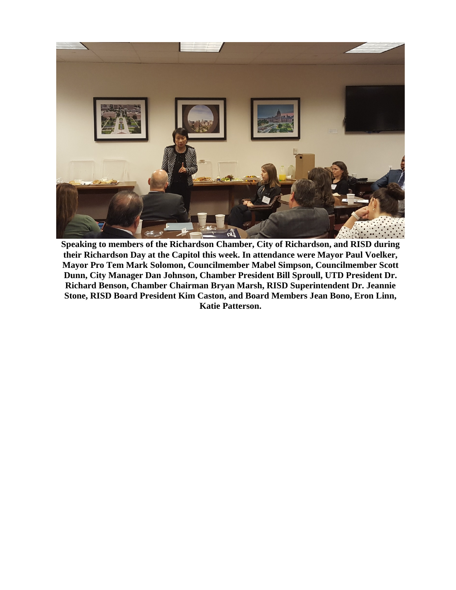

**Speaking to members of the Richardson Chamber, City of Richardson, and RISD during their Richardson Day at the Capitol this week. In attendance were Mayor Paul Voelker, Mayor Pro Tem Mark Solomon, Councilmember Mabel Simpson, Councilmember Scott Dunn, City Manager Dan Johnson, Chamber President Bill Sproull, UTD President Dr. Richard Benson, Chamber Chairman Bryan Marsh, RISD Superintendent Dr. Jeannie Stone, RISD Board President Kim Caston, and Board Members Jean Bono, Eron Linn, Katie Patterson.**